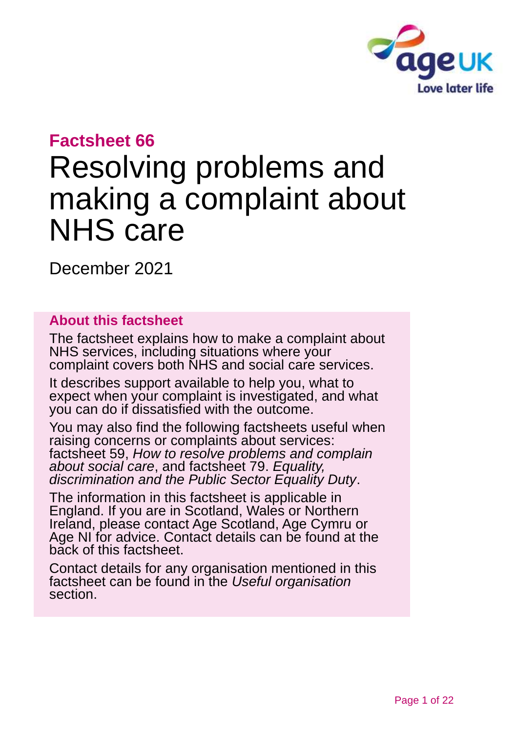

# **Factsheet 66**

# Resolving problems and making a complaint about NHS care

December 2021

### **About this factsheet**

The factsheet explains how to make a complaint about NHS services, including situations where your complaint covers both NHS and social care services.

It describes support available to help you, what to expect when your complaint is investigated, and what you can do if dissatisfied with the outcome.

You may also find the following factsheets useful when raising concerns or complaints about services: factsheet 59, *[How to resolve problems and complain](https://www.ageuk.org.uk/globalassets/age-uk/documents/factsheets/fs59_how_to_resolve_problems_and_complain_about_social_care_fcs.pdf)  [about social care](https://www.ageuk.org.uk/globalassets/age-uk/documents/factsheets/fs59_how_to_resolve_problems_and_complain_about_social_care_fcs.pdf)*, and factsheet 79. *[Equality,](https://www.ageuk.org.uk/globalassets/age-uk/documents/factsheets/fs79_equality_discrimination_and_the_public_sector_equality_duty_fcs.pdf)  [discrimination and the Public Sector Equality Duty](https://www.ageuk.org.uk/globalassets/age-uk/documents/factsheets/fs79_equality_discrimination_and_the_public_sector_equality_duty_fcs.pdf)*.

The information in this factsheet is applicable in England. If you are in Scotland, Wales or Northern Ireland, please contact [Age Scotland, Age Cymru or](#page-20-0)  [Age NI](#page-20-0) for advice. Contact details can be found at the [back of this factsheet.](#page-20-1)

Contact details for any organisation mentioned in this factsheet can be found in the *[Useful organisation](#page-17-0)* section.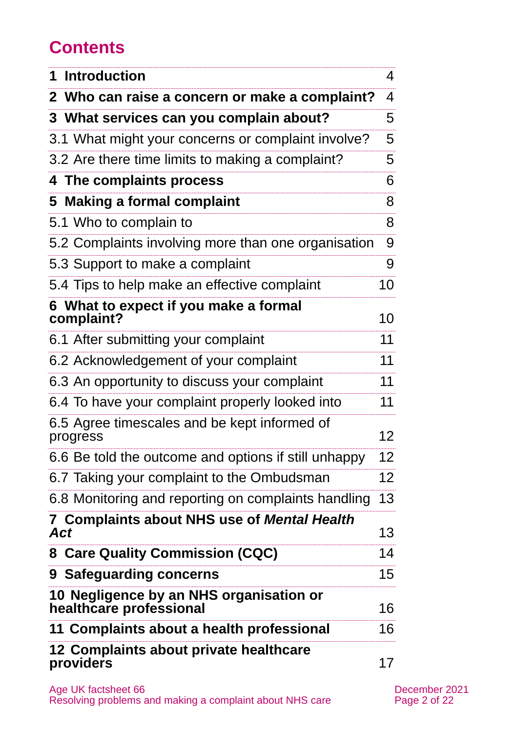# **Contents**

| <b>Introduction</b>                                                | 4               |
|--------------------------------------------------------------------|-----------------|
| 2 Who can raise a concern or make a complaint?                     | 4               |
| 3 What services can you complain about?                            | 5               |
| 3.1 What might your concerns or complaint involve?                 | 5               |
| 3.2 Are there time limits to making a complaint?                   | 5               |
| 4 The complaints process                                           | 6               |
| 5 Making a formal complaint                                        | 8               |
| 5.1 Who to complain to                                             | 8               |
| 5.2 Complaints involving more than one organisation                | 9               |
| 5.3 Support to make a complaint                                    | 9               |
| 5.4 Tips to help make an effective complaint                       | 10              |
| 6 What to expect if you make a formal<br>complaint?                | 10              |
| 6.1 After submitting your complaint                                | 11              |
| 6.2 Acknowledgement of your complaint                              | 11              |
| 6.3 An opportunity to discuss your complaint                       | 11              |
| 6.4 To have your complaint properly looked into                    | 11              |
| 6.5 Agree timescales and be kept informed of<br>progress           | 12              |
| 6.6 Be told the outcome and options if still unhappy               | 12              |
| 6.7 Taking your complaint to the Ombudsman                         | 12 <sub>2</sub> |
| 6.8 Monitoring and reporting on complaints handling                | 13              |
| 7 Complaints about NHS use of Mental Health<br>Act                 | 13              |
| 8 Care Quality Commission (CQC)                                    | 14              |
| 9 Safeguarding concerns                                            | 15              |
| 10 Negligence by an NHS organisation or<br>healthcare professional | 16              |
| 11 Complaints about a health professional                          | 16              |
| 12 Complaints about private healthcare<br>providers                | 17              |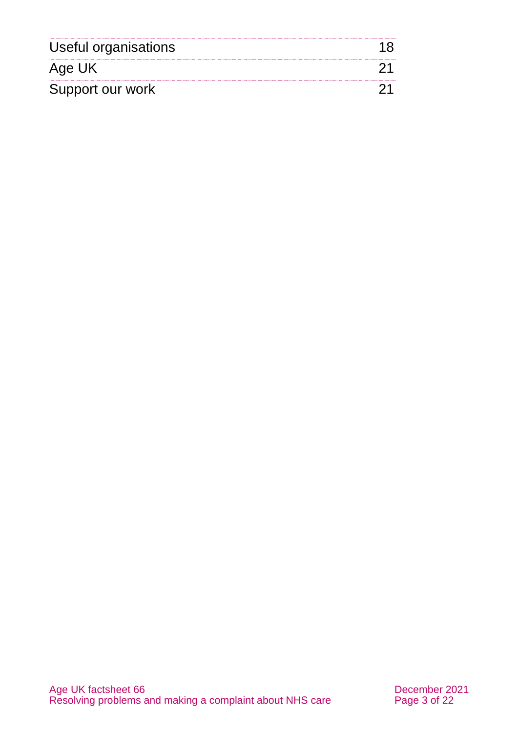<span id="page-2-0"></span>

| Useful organisations |  |
|----------------------|--|
| Age UK               |  |
| Support our work     |  |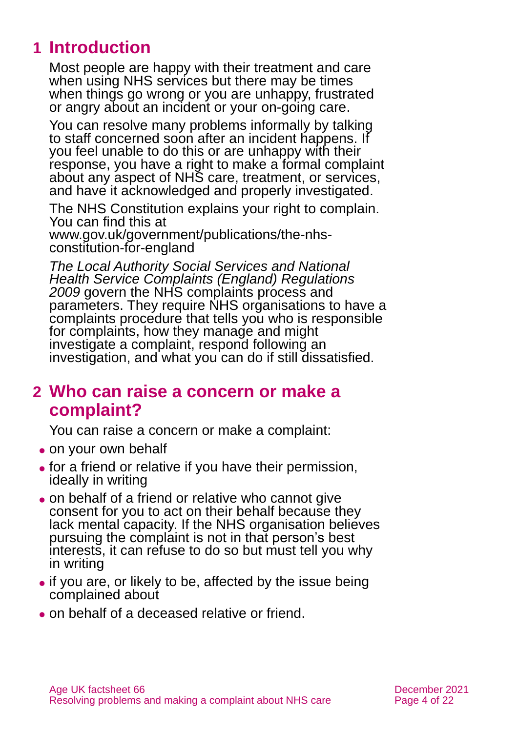# **1 Introduction**

Most people are happy with their treatment and care when using NHS services but there may be times when things go wrong or you are unhappy, frustrated or angry about an incident or your on-going care.

You can resolve many problems informally by talking to staff concerned soon after an incident happens. If you feel unable to do this or are unhappy with their response, you have a right to make a formal complaint about any aspect of NHS care, treatment, or services, and have it acknowledged and properly investigated.

The NHS Constitution explains your right to complain. You can find this at

[www.gov.uk/government/publications/the-nhs](http://www.gov.uk/government/publications/the-nhs-constitution-for-england)[constitution-for-england](http://www.gov.uk/government/publications/the-nhs-constitution-for-england)

*[The Local Authority Social Services and National](https://www.legislation.gov.uk/uksi/2009/309/contents/made)  [Health Service Complaints \(England\) Regulations](https://www.legislation.gov.uk/uksi/2009/309/contents/made)  [2009](https://www.legislation.gov.uk/uksi/2009/309/contents/made)* govern the NHS complaints process and parameters. They require NHS organisations to have a complaints procedure that tells you who is responsible for complaints, how they manage and might investigate a complaint, respond following an investigation, and what you can do if still dissatisfied.

# <span id="page-3-0"></span>**2 Who can raise a concern or make a complaint?**

You can raise a concern or make a complaint:

- on your own behalf
- ⚫ for a friend or relative if you have their permission, ideally in writing
- ⚫ on behalf of a friend or relative who cannot give consent for you to act on their behalf because they lack mental capacity. If the NHS organisation believes pursuing the complaint is not in that person's best interests, it can refuse to do so but must tell you why in writing
- if you are, or likely to be, affected by the issue being complained about
- ⚫ on behalf of a deceased relative or friend.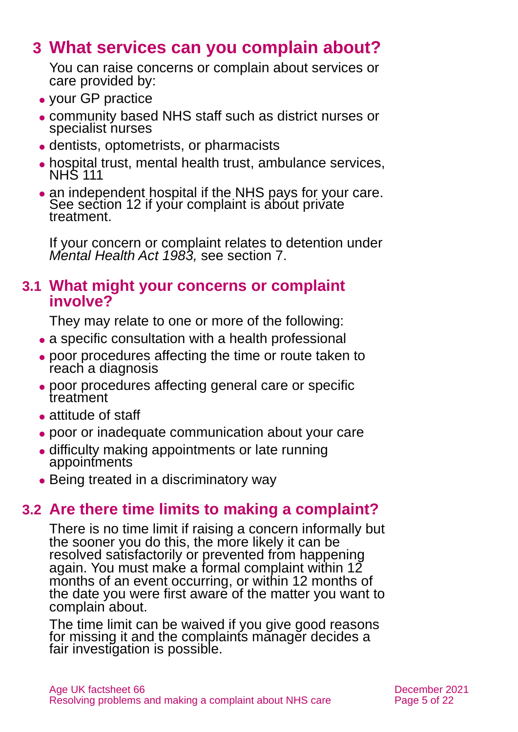# <span id="page-4-0"></span>**3 What services can you complain about?**

You can raise concerns or complain about services or care provided by:

- ⚫ your GP practice
- ⚫ community based NHS staff such as district nurses or specialist nurses
- ⚫ dentists, optometrists, or pharmacists
- ⚫ hospital trust, mental health trust, ambulance services, NHS 111
- an independent hospital if the NHS pays for your care. See [section 12](#page-16-0) if your complaint is about private treatment.

If your concern or complaint relates to detention under *Mental Health Act 1983,* see [section 7.](#page-12-0)

### **3.1 What might your concerns or complaint involve?**

They may relate to one or more of the following:

- ⚫ a specific consultation with a health professional
- ⚫ poor procedures affecting the time or route taken to reach a diagnosis
- ⚫ poor procedures affecting general care or specific treatment
- attitude of staff
- ⚫ poor or inadequate communication about your care
- ⚫ difficulty making appointments or late running appointments
- Being treated in a discriminatory way

# **3.2 Are there time limits to making a complaint?**

There is no time limit if raising a concern informally but the sooner you do this, the more likely it can be resolved satisfactorily or prevented from happening again. You must make a formal complaint within 12 months of an event occurring, or within 12 months of the date you were first aware of the matter you want to complain about.

The time limit can be waived if you give good reasons for missing it and the complaints manager decides a fair investigation is possible.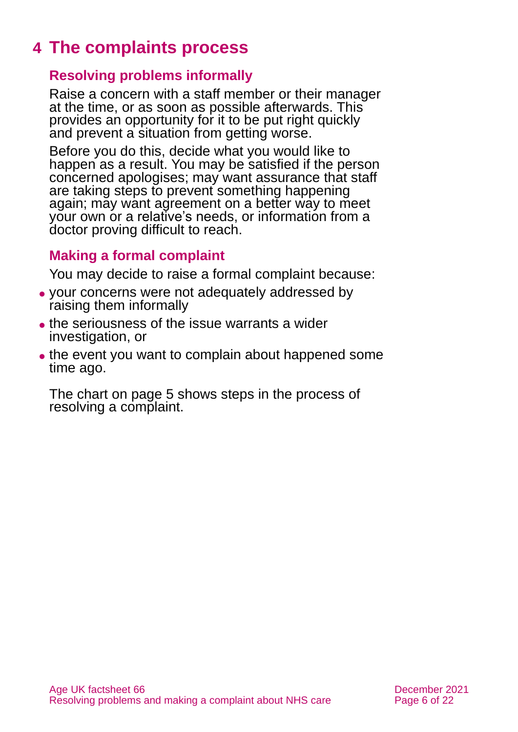# <span id="page-5-0"></span>**4 The complaints process**

### **Resolving problems informally**

Raise a concern with a staff member or their manager at the time, or as soon as possible afterwards. This provides an opportunity for it to be put right quickly and prevent a situation from getting worse.

Before you do this, decide what you would like to happen as a result. You may be satisfied if the person concerned apologises; may want assurance that staff are taking steps to prevent something happening again; may want agreement on a better way to meet your own or a relative's needs, or information from a doctor proving difficult to reach.

### **Making a formal complaint**

You may decide to raise a formal complaint because:

- ⚫ your concerns were not adequately addressed by raising them informally
- ⚫ the seriousness of the issue warrants a wider investigation, or
- the event you want to complain about happened some time ago.

The chart on [page 5](#page-6-0) shows steps in the process of resolving a complaint.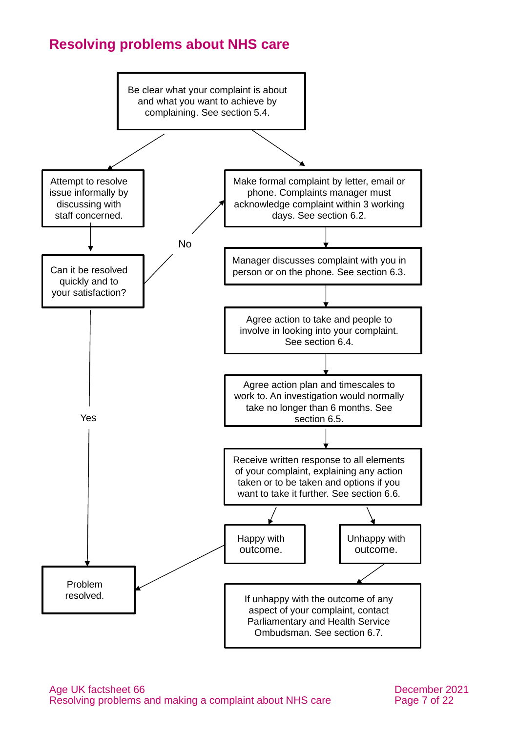### <span id="page-6-0"></span>**Resolving problems about NHS care**

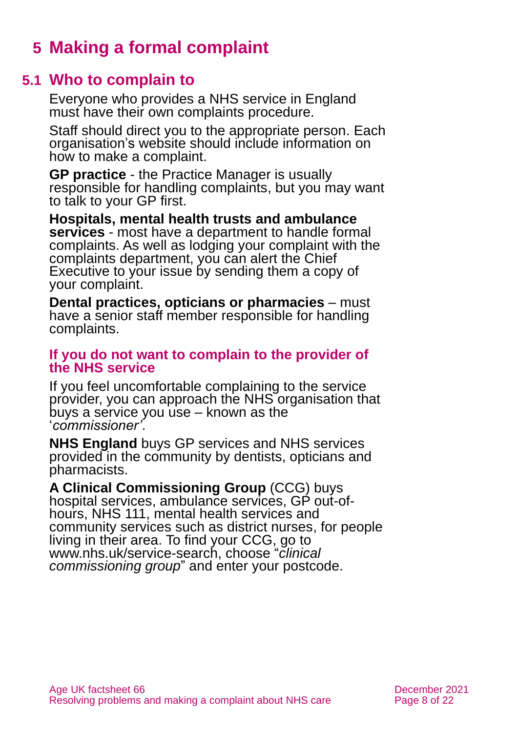# <span id="page-7-0"></span>**5 Making a formal complaint**

### **5.1 Who to complain to**

Everyone who provides a NHS service in England must have their own complaints procedure.

Staff should direct you to the appropriate person. Each organisation's website should include information on how to make a complaint.

**GP practice** - the Practice Manager is usually responsible for handling complaints, but you may want to talk to your GP first.

**Hospitals, mental health trusts and ambulance services** - most have a department to handle formal complaints. As well as lodging your complaint with the complaints department, you can alert the Chief Executive to your issue by sending them a copy of your complaint.

**Dental practices, opticians or pharmacies** – must have a senior staff member responsible for handling complaints.

#### **If you do not want to complain to the provider of the NHS service**

If you feel uncomfortable complaining to the service provider, you can approach the NHS organisation that buys a service you use – known as the '*commissioner'*.

**NHS England** buys GP services and NHS services provided in the community by dentists, opticians and pharmacists.

**A Clinical Commissioning Group** (CCG) buys hospital services, ambulance services, GP out-ofhours, NHS 111, mental health services and community services such as district nurses, for people living in their area. To find your CCG, go to [www.nhs.uk/service-search,](http://www.nhs.uk/service-search) choose "*clinical commissioning group*" and enter your postcode.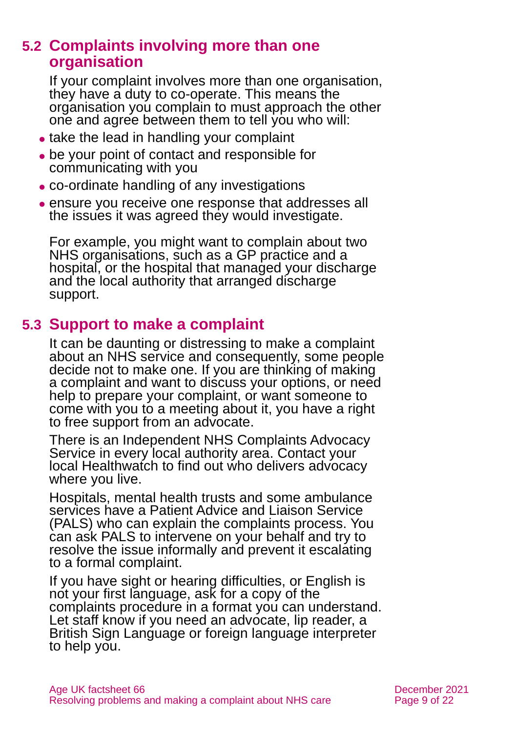### **5.2 Complaints involving more than one organisation**

If your complaint involves more than one organisation, they have a duty to co-operate. This means the organisation you complain to must approach the other one and agree between them to tell you who will:

- take the lead in handling your complaint
- ⚫ be your point of contact and responsible for communicating with you
- ⚫ co-ordinate handling of any investigations
- ⚫ ensure you receive one response that addresses all the issues it was agreed they would investigate.

For example, you might want to complain about two NHS organisations, such as a GP practice and a hospital, or the hospital that managed your discharge and the local authority that arranged discharge support.

# **5.3 Support to make a complaint**

It can be daunting or distressing to make a complaint about an NHS service and consequently, some people decide not to make one. If you are thinking of making a complaint and want to discuss your options, or need help to prepare your complaint, or want someone to come with you to a meeting about it, you have a right to free support from an advocate.

There is an Independent NHS Complaints Advocacy Service in every local authority area. Contact [your](https://www.healthwatch.co.uk/your-local-healthwatch/list)  [local Healthwatch](https://www.healthwatch.co.uk/your-local-healthwatch/list) to find out who delivers advocacy where you live.

Hospitals, mental health trusts and some ambulance services have a Patient Advice and Liaison Service (PALS) who can explain the complaints process. You can ask PALS to intervene on your behalf and try to resolve the issue informally and prevent it escalating to a formal complaint.

If you have sight or hearing difficulties, or English is not your first language, ask for a copy of the complaints procedure in a format you can understand. Let staff know if you need an advocate, lip reader, a British Sign Language or foreign language interpreter to help you.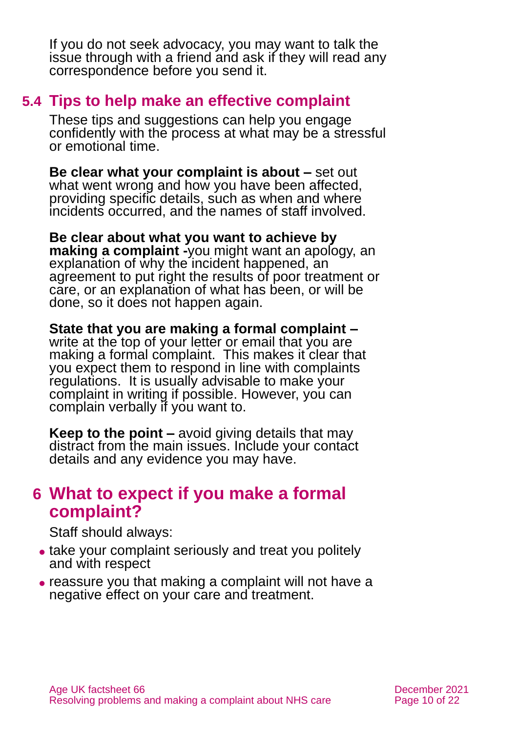If you do not seek advocacy, you may want to talk the issue through with a friend and ask if they will read any correspondence before you send it.

### <span id="page-9-1"></span>**5.4 Tips to help make an effective complaint**

These tips and suggestions can help you engage confidently with the process at what may be a stressful or emotional time.

**Be clear what your complaint is about –** set out what went wrong and how you have been affected, providing specific details, such as when and where incidents occurred, and the names of staff involved.

**Be clear about what you want to achieve by making a complaint -**you might want an apology, an explanation of why the incident happened, an agreement to put right the results of poor treatment or care, or an explanation of what has been, or will be done, so it does not happen again.

**State that you are making a formal complaint –** write at the top of your letter or email that you are making a formal complaint. This makes it clear that you expect them to respond in line with complaints regulations. It is usually advisable to make your complaint in writing if possible. However, you can complain verbally if you want to.

**Keep to the point –** avoid giving details that may distract from the main issues. Include your contact details and any evidence you may have.

# <span id="page-9-0"></span>**6 What to expect if you make a formal complaint?**

Staff should always:

- take your complaint seriously and treat you politely and with respect
- ⚫ reassure you that making a complaint will not have a negative effect on your care and treatment.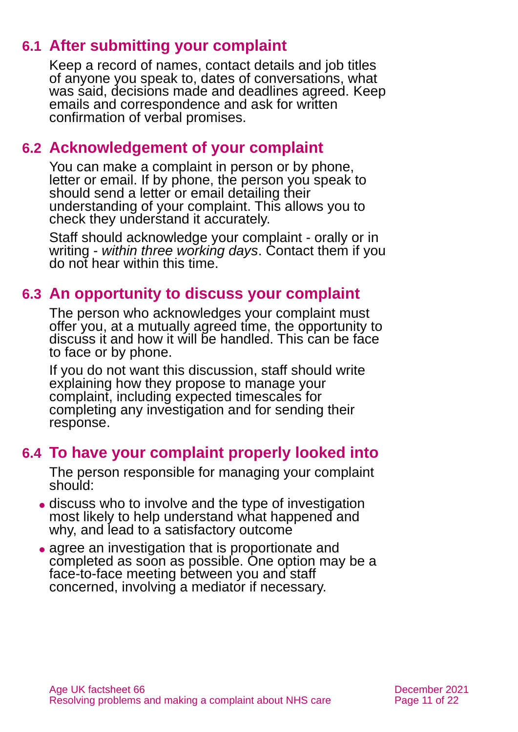# **6.1 After submitting your complaint**

Keep a record of names, contact details and job titles of anyone you speak to, dates of conversations, what was said, decisions made and deadlines agreed. Keep emails and correspondence and ask for written confirmation of verbal promises.

### <span id="page-10-0"></span>**6.2 Acknowledgement of your complaint**

You can make a complaint in person or by phone, letter or email. If by phone, the person you speak to should send a letter or email detailing their understanding of your complaint. This allows you to check they understand it accurately.

Staff should acknowledge your complaint - orally or in writing - *within three working days*. Contact them if you do not hear within this time.

### <span id="page-10-1"></span>**6.3 An opportunity to discuss your complaint**

The person who acknowledges your complaint must offer you, at a mutually agreed time, the opportunity to discuss it and how it will be handled. This can be face to face or by phone.

If you do not want this discussion, staff should write explaining how they propose to manage your complaint, including expected timescales for completing any investigation and for sending their response.

### <span id="page-10-2"></span>**6.4 To have your complaint properly looked into**

The person responsible for managing your complaint should:

- discuss who to involve and the type of investigation most likely to help understand what happened and why, and lead to a satisfactory outcome
- agree an investigation that is proportionate and completed as soon as possible. One option may be a face-to-face meeting between you and staff concerned, involving a mediator if necessary.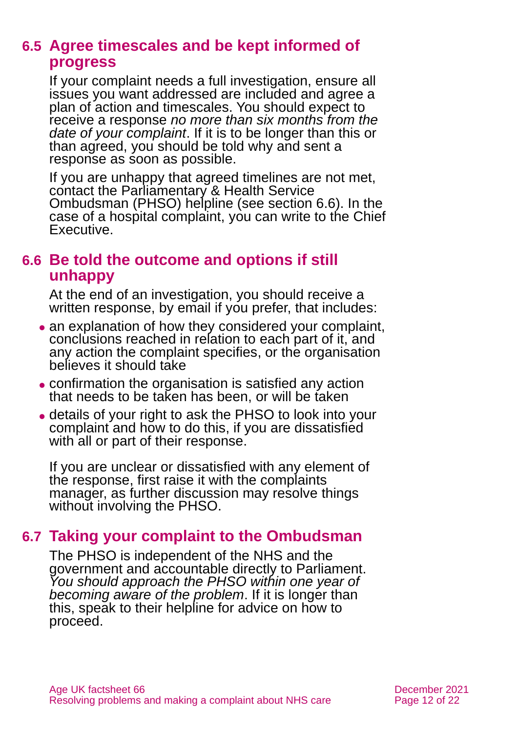### <span id="page-11-0"></span>**6.5 Agree timescales and be kept informed of progress**

If your complaint needs a full investigation, ensure all issues you want addressed are included and agree a plan of action and timescales. You should expect to receive a response *no more than six months from the date of your complaint*. If it is to be longer than this or than agreed, you should be told why and sent a response as soon as possible.

If you are unhappy that agreed timelines are not met, contact the Parliamentary & Health Service Ombudsman (PHSO) helpline (see [section 6.6\)](#page-11-1). In the case of a hospital complaint, you can write to the Chief Executive.

# <span id="page-11-1"></span>**6.6 Be told the outcome and options if still unhappy**

At the end of an investigation, you should receive a written response, by email if you prefer, that includes:

- an explanation of how they considered your complaint, conclusions reached in relation to each part of it, and any action the complaint specifies, or the organisation believes it should take
- ⚫ confirmation the organisation is satisfied any action that needs to be taken has been, or will be taken
- ⚫ details of your right to ask the PHSO to look into your complaint and how to do this, if you are dissatisfied with all or part of their response.

If you are unclear or dissatisfied with any element of the response, first raise it with the complaints manager, as further discussion may resolve things without involving the PHSO.

# <span id="page-11-2"></span>**6.7 Taking your complaint to the Ombudsman**

The PHSO is independent of the NHS and the government and accountable directly to Parliament. *You should approach the PHSO within one year of becoming aware of the problem*. If it is longer than this, speak to their helpline for advice on how to proceed.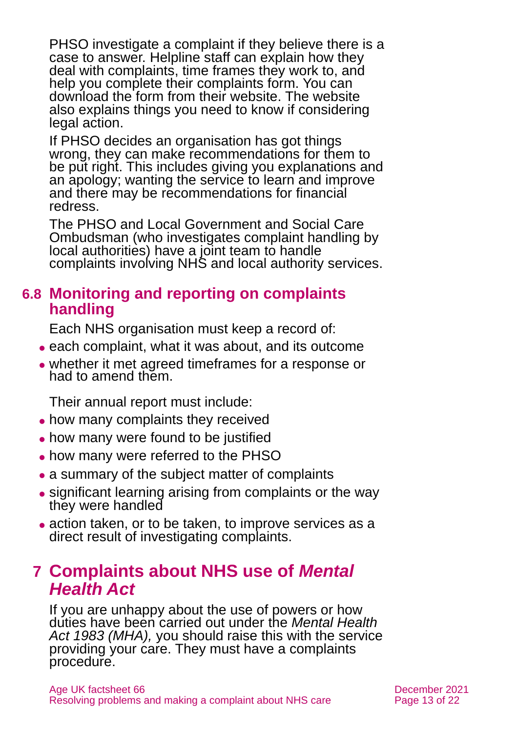PHSO investigate a complaint if they believe there is a case to answer. Helpline staff can explain how they deal with complaints, time frames they work to, and help you complete their complaints form. You can download the form from their [website.](https://www.ombudsman.org.uk/) The website also explains things you need to know if considering legal action.

If PHSO decides an organisation has got things wrong, they can make recommendations for them to be put right. This includes giving you explanations and an apology; wanting the service to learn and improve and there may be recommendations for financial redress.

The PHSO and Local Government and Social Care Ombudsman (who investigates complaint handling by local authorities) have a joint team to handle complaints involving NHS and local authority services.

### **6.8 Monitoring and reporting on complaints handling**

Each NHS organisation must keep a record of:

- each complaint, what it was about, and its outcome
- ⚫ whether it met agreed timeframes for a response or had to amend them.

Their annual report must include:

- how many complaints they received
- ⚫ how many were found to be justified
- ⚫ how many were referred to the PHSO
- a summary of the subject matter of complaints
- ⚫ significant learning arising from complaints or the way they were handled
- action taken, or to be taken, to improve services as a direct result of investigating complaints.

# <span id="page-12-0"></span>**7 Complaints about NHS use of** *Mental Health Act*

If you are unhappy about the use of powers or how duties have been carried out under the *[Mental Health](https://www.legislation.gov.uk/ukpga/1983/20/contents)  [Act 1983](https://www.legislation.gov.uk/ukpga/1983/20/contents) (MHA),* you should raise this with the service providing your care. They must have a complaints procedure.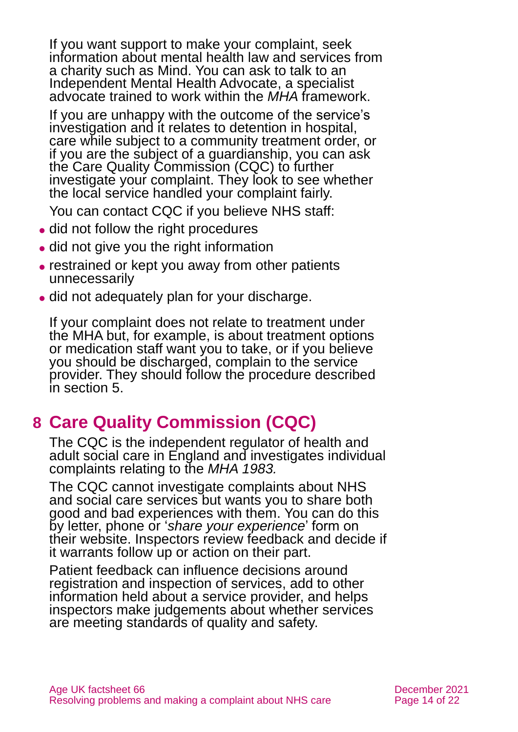If you want support to make your complaint, seek information about mental health law and services from a charity such as Mind. You can ask to talk to an Independent Mental Health Advocate, a specialist advocate trained to work within the *MHA* framework.

If you are unhappy with the outcome of the service's investigation and it relates to detention in hospital, care while subject to a community treatment order, or if you are the subject of a guardianship, you can ask the [Care Quality Commission](https://www.cqc.org.uk/) (CQC) to further investigate your complaint. They look to see whether the local service handled your complaint fairly.

You can contact CQC if you believe NHS staff:

- did not follow the right procedures
- did not give you the right information
- restrained or kept you away from other patients unnecessarily
- ⚫ did not adequately plan for your discharge.

If your complaint does not relate to treatment under the MHA but, for example, is about treatment options or medication staff want you to take, or if you believe you should be discharged, complain to the service provider. They should follow the procedure described in [section 5.](#page-7-0)

# <span id="page-13-0"></span>**8 Care Quality Commission (CQC)**

The CQC is the independent regulator of health and adult social care in England and investigates individual complaints relating to the *MHA 1983.* 

The CQC cannot investigate complaints about NHS and social care services but wants you to share both good and bad experiences with them. You can do this by letter, phone or '*[share your experience](https://www.cqc.org.uk/give-feedback-on-care)*' form on [their website.](https://www.cqc.org.uk/give-feedback-on-care) Inspectors review feedback and decide if it warrants follow up or action on their part.

Patient feedback can influence decisions around registration and inspection of services, add to other information held about a service provider, and helps inspectors make judgements about whether services are meeting standards of quality and safety.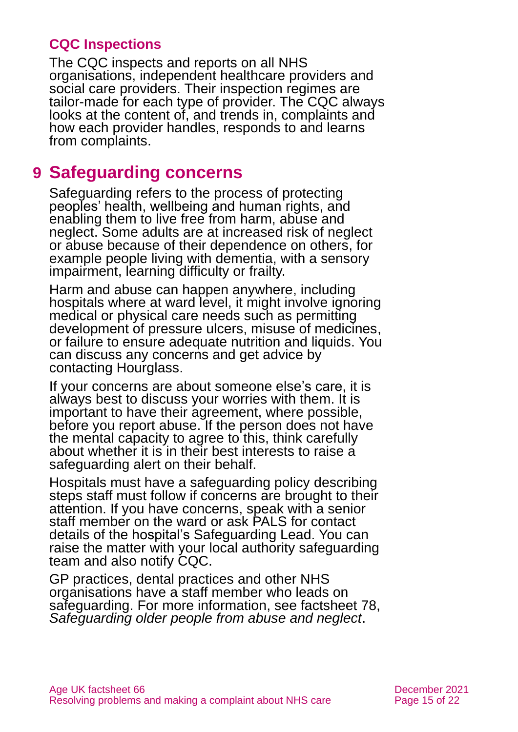### **CQC Inspections**

The CQC inspects and reports on all NHS organisations, independent healthcare providers and social care providers. Their inspection regimes are tailor-made for each type of provider. The CQC always looks at the content of, and trends in, complaints and how each provider handles, responds to and learns from complaints.

# <span id="page-14-0"></span>**9 Safeguarding concerns**

Safeguarding refers to the process of protecting peoples' health, wellbeing and human rights, and enabling them to live free from harm, abuse and neglect. Some adults are at increased risk of neglect or abuse because of their dependence on others, for example people living with dementia, with a sensory impairment, learning difficulty or frailty.

Harm and abuse can happen anywhere, including hospitals where at ward level, it might involve ignoring medical or physical care needs such as permitting development of pressure ulcers, misuse of medicines, or failure to ensure adequate nutrition and liquids. You can discuss any concerns and get advice by contacting [Hourglass.](https://wearehourglass.org/england)

If your concerns are about someone else's care, it is always best to discuss your worries with them. It is important to have their agreement, where possible, before you report abuse. If the person does not have the mental capacity to agree to this, think carefully about whether it is in their best interests to raise a safeguarding alert on their behalf.

Hospitals must have a safeguarding policy describing steps staff must follow if concerns are brought to their attention. If you have concerns, speak with a senior staff member on the ward or ask PALS for contact details of the hospital's Safeguarding Lead. You can raise the matter with your local authority safeguarding team and also notify CQC.

GP practices, dental practices and other NHS organisations have a staff member who leads on safeguarding. For more information, see factsheet 78, *[Safeguarding older people from abuse and neglect](https://www.ageuk.org.uk/globalassets/age-uk/documents/factsheets/fs78_safeguarding_older_people_from_abuse_fcs.pdf)*.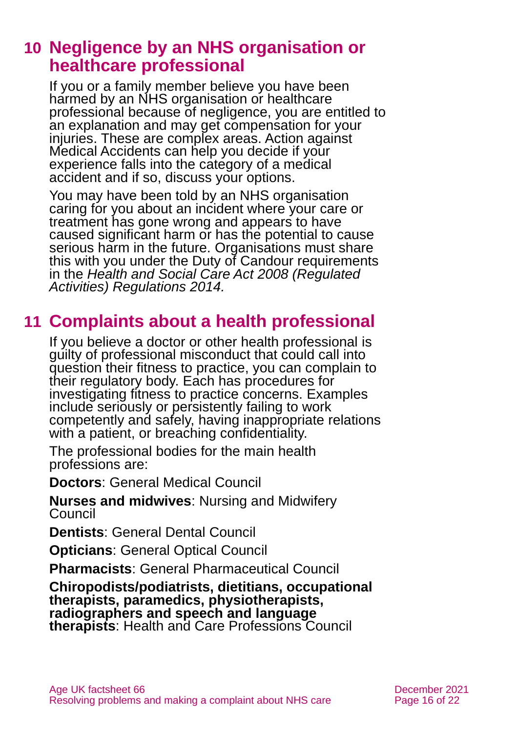# <span id="page-15-0"></span>**10 Negligence by an NHS organisation or healthcare professional**

If you or a family member believe you have been harmed by an NHS organisation or healthcare professional because of negligence, you are entitled to an explanation and may get compensation for your injuries. These are complex areas. [Action against](https://www.avma.org.uk/)  [Medical Accidents](https://www.avma.org.uk/) can help you decide if your experience falls into the category of a medical accident and if so, discuss your options.

You may have been told by an NHS organisation caring for you about an incident where your care or treatment has gone wrong and appears to have caused significant harm or has the potential to cause serious harm in the future. Organisations must share this with you under the Duty of Candour requirements in the *[Health and Social Care Act 2008 \(Regulated](https://www.legislation.gov.uk/uksi/2014/2936/contents)  [Activities\) Regulations 2014.](https://www.legislation.gov.uk/uksi/2014/2936/contents)*

# <span id="page-15-1"></span>**11 Complaints about a health professional**

If you believe a doctor or other health professional is guilty of professional misconduct that could call into question their fitness to practice, you can complain to their regulatory body. Each has procedures for investigating fitness to practice concerns. Examples include seriously or persistently failing to work competently and safely, having inappropriate relations with a patient, or breaching confidentiality.

The professional bodies for the main health professions are:

**Doctors**: General Medical Council

**Nurses and midwives**: Nursing and Midwifery Council

**Dentists**: General Dental Council

**Opticians**: General Optical Council

**Pharmacists**: General Pharmaceutical Council

**Chiropodists/podiatrists, dietitians, occupational therapists, paramedics, physiotherapists, radiographers and speech and language therapists**: Health and Care Professions Council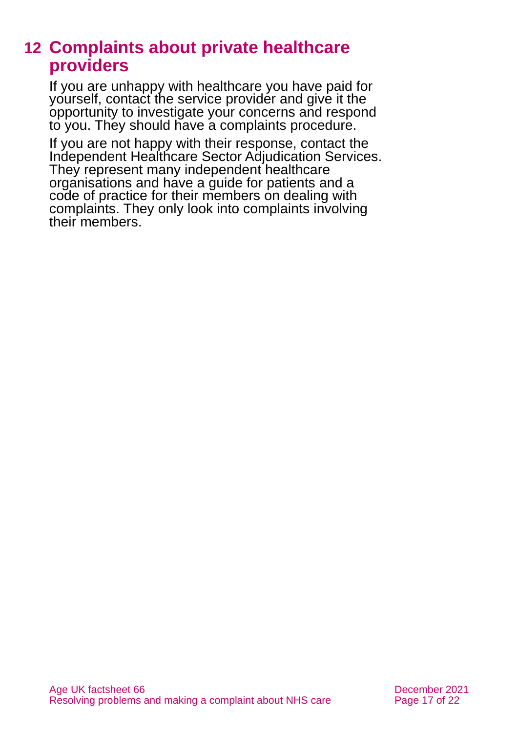# <span id="page-16-0"></span>**12 Complaints about private healthcare providers**

If you are unhappy with healthcare you have paid for yourself, contact the service provider and give it the opportunity to investigate your concerns and respond to you. They should have a complaints procedure.

If you are not happy with their response, contact the [Independent Healthcare Sector Adjudication Services.](https://iscas.cedr.com/) They represent many independent healthcare organisations and have a guide for patients and a code of practice for their members on dealing with complaints. They only look into complaints involving their members.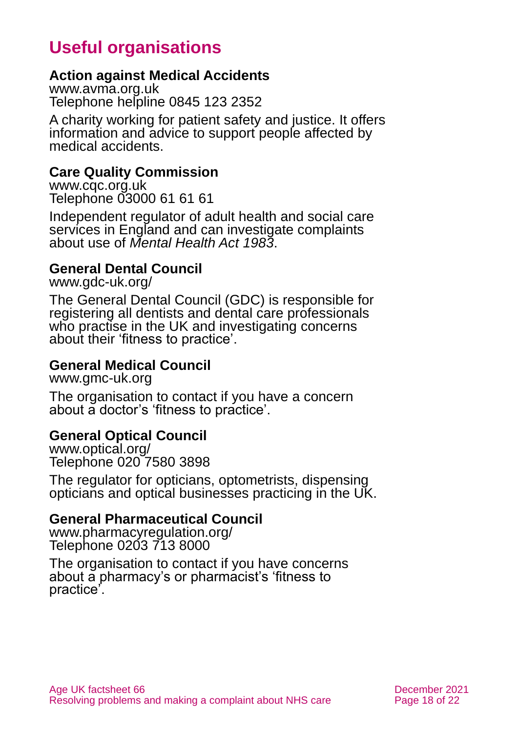# **Useful organisations**

### <span id="page-17-0"></span>**Action against Medical Accidents**

[www.avma.org.uk](http://www.avma.org.uk/) Telephone helpline 0845 123 2352

A charity working for patient safety and justice. It offers information and advice to support people affected by medical accidents.

#### **Care Quality Commission**

[www.cqc.org.uk](http://www.cqc.org.uk/) Telephone 03000 61 61 61

Independent regulator of adult health and social care services in England and can investigate complaints about use of *Mental Health Act 1983*.

### **General Dental Council**

[www.gdc-uk.org/](http://www.gdc-uk.org/)

The General Dental Council (GDC) is responsible for registering all dentists and dental care professionals who practise in the UK and investigating concerns about their 'fitness to practice'.

#### **General Medical Council**

[www.gmc-uk.org](http://www.gmc-uk.org/)

The organisation to contact if you have a concern about a doctor's 'fitness to practice'.

#### **General Optical Council**

[www.optical.org/](http://www.optical.org/) Telephone 020 7580 3898

The regulator for opticians, optometrists, dispensing opticians and optical businesses practicing in the UK.

#### **General Pharmaceutical Council**

[www.pharmacyregulation.org/](http://www.pharmacyregulation.org/) Telephone 0203 713 8000

The organisation to contact if you have concerns about a pharmacy's or pharmacist's 'fitness to practice'.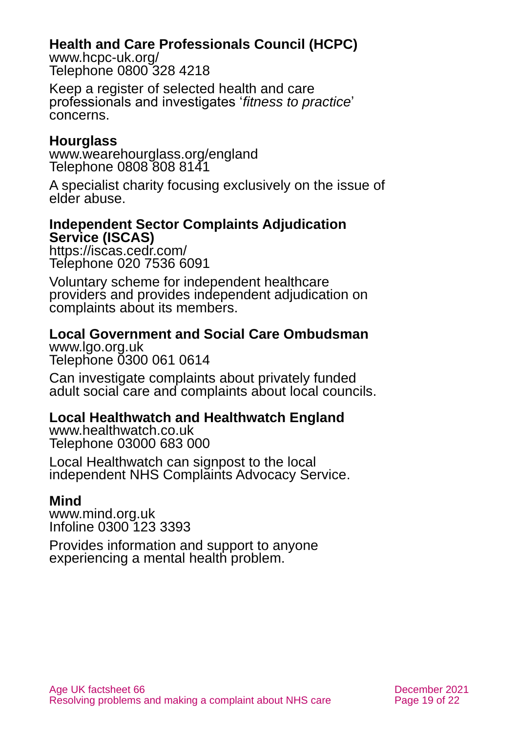### **Health and Care Professionals Council (HCPC)**

[www.hcpc-uk.org/](http://www.hcpc-uk.org/) Telephone 0800 328 4218

Keep a register of selected health and care professionals and investigates '*fitness to practice*' concerns.

### **Hourglass**

[www.wearehourglass.org/england](http://www.wearehourglass.org/england) Telephone 0808 808 8141

A specialist charity focusing exclusively on the issue of elder abuse.

#### **Independent Sector Complaints Adjudication Service (ISCAS)**

<https://iscas.cedr.com/> Telephone 020 7536 6091

Voluntary scheme for independent healthcare providers and provides independent adjudication on complaints about its members.

# **Local Government and Social Care Ombudsman**

[www.lgo.org.uk](http://www.lgo.org.uk/) Telephone 0300 061 0614

Can investigate complaints about privately funded adult social care and complaints about local councils.

### **Local Healthwatch and Healthwatch England**

[www.healthwatch.co.uk](http://www.healthwatch.co.uk/) Telephone 03000 683 000

Local Healthwatch can signpost to the local independent NHS Complaints Advocacy Service.

### **Mind**

[www.mind.org.uk](http://www.mind.org.uk/) Infoline 0300 123 3393

Provides information and support to anyone experiencing a mental health problem.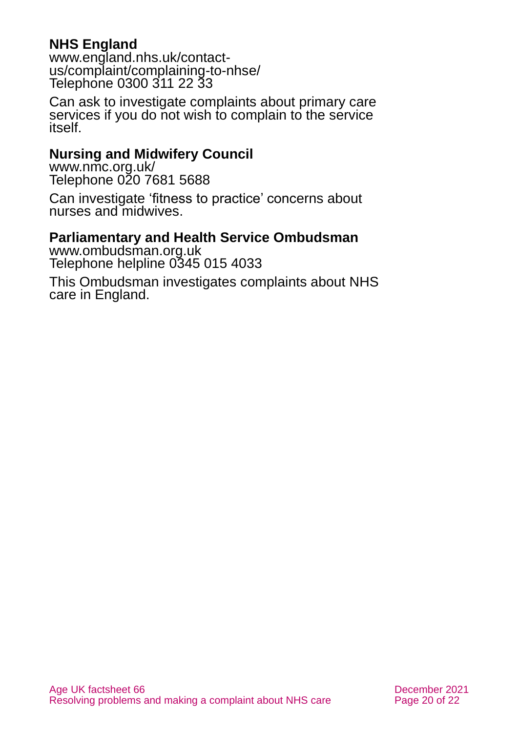### **NHS England**

[www.england.nhs.uk/contact](http://www.england.nhs.uk/contact-us/complaint/complaining-to-nhse/)[us/complaint/complaining-to-nhse/](http://www.england.nhs.uk/contact-us/complaint/complaining-to-nhse/) Telephone 0300 311 22 33

Can ask to investigate complaints about primary care services if you do not wish to complain to the service itself.

#### **Nursing and Midwifery Council**

[www.nmc.org.uk/](http://www.nmc.org.uk/) Telephone 020 7681 5688

Can investigate 'fitness to practice' concerns about nurses and midwives.

### **Parliamentary and Health Service Ombudsman**

[www.ombudsman.org.uk](http://www.ombudsman.org.uk/) Telephone helpline 0345 015 4033

This Ombudsman investigates complaints about NHS care in England.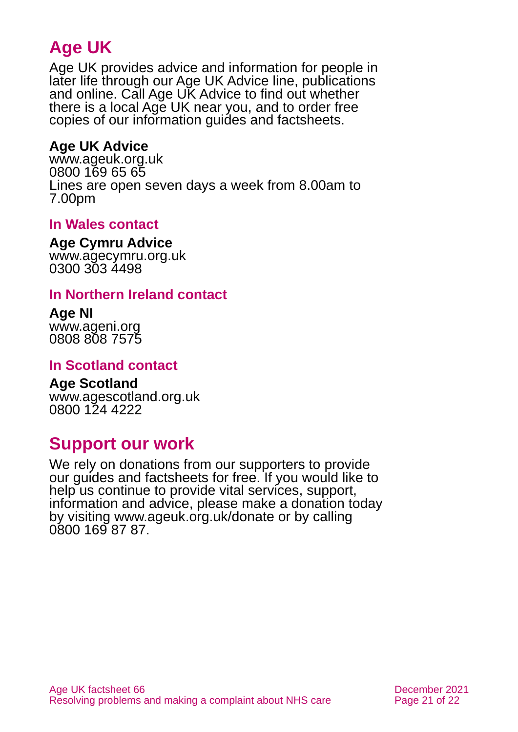# **Age UK**

Age UK provides advice and information for people in later life through our Age UK Advice line, publications and online. Call Age UK Advice to find out whether there is a local Age UK near you, and to order free copies of our information guides and factsheets.

### <span id="page-20-1"></span>**Age UK Advice**

[www.ageuk.org.uk](http://www.ageuk.org.uk/) 0800 169 65 65 Lines are open seven days a week from 8.00am to 7.00pm

### **In Wales contact**

#### **Age Cymru Advice**

[www.agecymru.org.uk](http://www.agecymru.org.uk/) 0300 303 4498

### <span id="page-20-0"></span>**In Northern Ireland contact**

#### **Age NI** [www.ageni.org](http://www.ageni.org/)

0808 808 7575

### **In Scotland contact**

#### <span id="page-20-2"></span>**Age Scotland** [www.agescotland.org.uk](http://www.agescotland.org.uk/)

0800 124 4222

# **Support our work**

We rely on donations from our supporters to provide our guides and factsheets for free. If you would like to help us continue to provide vital services, support, information and advice, please make a donation today by visiting [www.ageuk.org.uk/donate](http://www.ageuk.org.uk/donate) or by calling 0800 169 87 87.